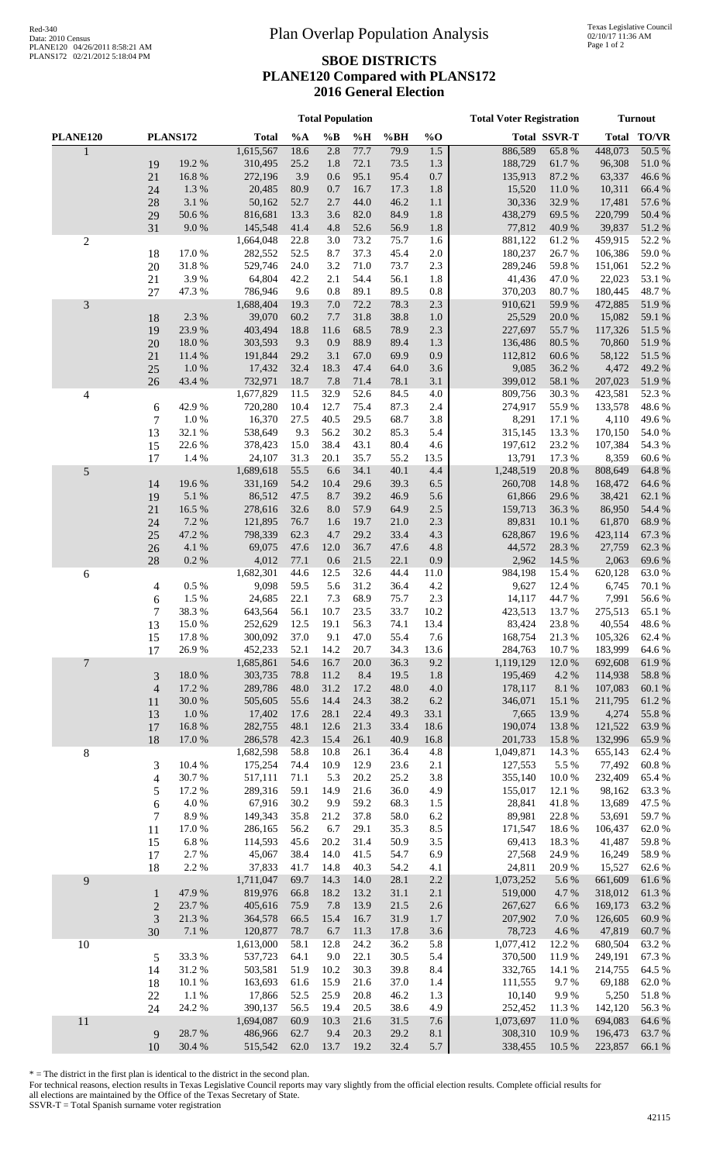## Red-340<br>Data: 2010 Census Red-340<br>
Plan Overlap Population Analysis

## **SBOE DISTRICTS PLANE120 Compared with PLANS172 2016 General Election**

|                |                |                  | <b>Total Population</b> |              |              |              |              |              | <b>Total Voter Registration</b> | <b>Turnout</b>      |                    |                 |
|----------------|----------------|------------------|-------------------------|--------------|--------------|--------------|--------------|--------------|---------------------------------|---------------------|--------------------|-----------------|
| PLANE120       |                | PLANS172         | <b>Total</b>            | %A           | $\%B$        | %H           | %BH          | $%$ O        |                                 | <b>Total SSVR-T</b> |                    | Total TO/VR     |
| $\mathbf{1}$   |                |                  | 1,615,567               | 18.6         | 2.8          | 77.7         | 79.9         | 1.5          | 886,589                         | 65.8%               | 448,073            | 50.5%           |
|                | 19             | 19.2 %           | 310,495                 | 25.2         | 1.8          | 72.1         | 73.5         | 1.3          | 188,729                         | 61.7%               | 96,308             | $51.0\ \%$      |
|                | 21             | 16.8%            | 272,196                 | 3.9          | 0.6          | 95.1         | 95.4         | 0.7          | 135,913                         | 87.2 %              | 63,337             | 46.6%           |
|                | 24             | 1.3%             | 20,485                  | 80.9         | 0.7          | 16.7         | 17.3         | 1.8          | 15,520                          | 11.0%               | 10,311             | 66.4%           |
|                | 28             | 3.1 %            | 50,162                  | 52.7         | 2.7          | 44.0         | 46.2         | 1.1          | 30,336                          | 32.9%               | 17,481             | 57.6%           |
|                | 29             | 50.6%            | 816,681                 | 13.3         | 3.6          | 82.0         | 84.9         | 1.8          | 438,279                         | 69.5 %              | 220,799            | 50.4 %          |
|                | 31             | 9.0%             | 145,548                 | 41.4         | 4.8          | 52.6         | 56.9         | 1.8          | 77,812                          | 40.9%               | 39,837             | 51.2%           |
| $\overline{c}$ |                |                  | 1,664,048               | 22.8         | 3.0          | 73.2         | 75.7         | 1.6          | 881,122                         | 61.2%               | 459,915            | 52.2 %          |
|                | 18<br>$20\,$   | 17.0%<br>31.8%   | 282,552<br>529,746      | 52.5<br>24.0 | 8.7<br>3.2   | 37.3<br>71.0 | 45.4<br>73.7 | 2.0<br>2.3   | 180,237<br>289,246              | 26.7%<br>59.8%      | 106,386<br>151,061 | 59.0%<br>52.2 % |
|                | 21             | 3.9%             | 64,804                  | 42.2         | 2.1          | 54.4         | 56.1         | 1.8          | 41,436                          | 47.0%               | 22,023             | 53.1 %          |
|                | 27             | 47.3 %           | 786,946                 | 9.6          | 0.8          | 89.1         | 89.5         | $0.8\,$      | 370,203                         | 80.7%               | 180,445            | 48.7%           |
| $\mathfrak{Z}$ |                |                  | 1,688,404               | 19.3         | 7.0          | 72.2         | 78.3         | 2.3          | 910,621                         | 59.9%               | 472,885            | 51.9%           |
|                | 18             | 2.3 %            | 39,070                  | 60.2         | 7.7          | 31.8         | 38.8         | 1.0          | 25,529                          | 20.0%               | 15,082             | 59.1 %          |
|                | 19             | 23.9%            | 403,494                 | 18.8         | 11.6         | 68.5         | 78.9         | 2.3          | 227,697                         | 55.7%               | 117,326            | 51.5%           |
|                | $20\,$         | 18.0%            | 303,593                 | 9.3          | 0.9          | 88.9         | 89.4         | 1.3          | 136,486                         | 80.5%               | 70,860             | 51.9%           |
|                | 21             | 11.4 %           | 191,844                 | 29.2         | 3.1          | 67.0         | 69.9         | 0.9          | 112,812                         | 60.6%               | 58,122             | 51.5 %          |
|                | 25             | 1.0%             | 17,432                  | 32.4         | 18.3         | 47.4         | 64.0         | 3.6          | 9,085                           | 36.2%               | 4,472              | 49.2 %          |
|                | 26             | 43.4 %           | 732,971                 | 18.7         | 7.8          | 71.4         | 78.1         | 3.1          | 399,012                         | 58.1 %              | 207,023            | 51.9%           |
| 4              |                |                  | 1,677,829               | 11.5         | 32.9         | 52.6         | 84.5         | 4.0          | 809,756                         | 30.3%               | 423,581            | 52.3 %          |
|                | 6              | 42.9%            | 720,280                 | 10.4         | 12.7         | 75.4         | 87.3         | 2.4          | 274,917                         | 55.9%               | 133,578            | 48.6%           |
|                | 7              | 1.0%             | 16,370                  | 27.5<br>9.3  | 40.5<br>56.2 | 29.5<br>30.2 | 68.7<br>85.3 | 3.8<br>5.4   | 8,291<br>315,145                | 17.1 %<br>13.3 %    | 4,110              | 49.6%<br>54.0 % |
|                | 13<br>15       | 32.1 %<br>22.6 % | 538,649<br>378,423      | 15.0         | 38.4         | 43.1         | 80.4         | 4.6          | 197,612                         | 23.2 %              | 170,150<br>107,384 | 54.3 %          |
|                | 17             | 1.4 %            | 24,107                  | 31.3         | 20.1         | 35.7         | 55.2         | 13.5         | 13,791                          | 17.3 %              | 8,359              | 60.6%           |
| $\mathfrak s$  |                |                  | 1,689,618               | 55.5         | 6.6          | 34.1         | 40.1         | 4.4          | 1,248,519                       | 20.8%               | 808,649            | 64.8 %          |
|                | 14             | 19.6%            | 331,169                 | 54.2         | 10.4         | 29.6         | 39.3         | 6.5          | 260,708                         | 14.8%               | 168,472            | 64.6 %          |
|                | 19             | 5.1 %            | 86,512                  | 47.5         | 8.7          | 39.2         | 46.9         | 5.6          | 61,866                          | 29.6 %              | 38,421             | 62.1 %          |
|                | 21             | 16.5 %           | 278,616                 | 32.6         | 8.0          | 57.9         | 64.9         | 2.5          | 159,713                         | 36.3%               | 86,950             | 54.4 %          |
|                | 24             | 7.2 %            | 121,895                 | 76.7         | 1.6          | 19.7         | 21.0         | 2.3          | 89,831                          | 10.1 %              | 61,870             | 68.9%           |
|                | 25             | 47.2 %           | 798,339                 | 62.3         | 4.7          | 29.2         | 33.4         | 4.3          | 628,867                         | 19.6%               | 423,114            | 67.3 %          |
|                | 26             | 4.1 %            | 69,075                  | 47.6         | 12.0         | 36.7         | 47.6         | 4.8          | 44,572                          | 28.3%               | 27,759             | 62.3%           |
|                | 28             | 0.2 %            | 4,012                   | 77.1         | 0.6          | 21.5         | 22.1         | 0.9          | 2,962                           | 14.5 %              | 2,063              | 69.6%           |
| 6              |                |                  | 1,682,301               | 44.6         | 12.5         | 32.6         | 44.4         | 11.0         | 984,198                         | 15.4 %              | 620,128            | 63.0%           |
|                | 4              | 0.5 %<br>1.5 %   | 9,098<br>24,685         | 59.5<br>22.1 | 5.6<br>7.3   | 31.2<br>68.9 | 36.4<br>75.7 | 4.2<br>2.3   | 9,627<br>14,117                 | 12.4 %<br>44.7%     | 6,745<br>7,991     | 70.1 %<br>56.6% |
|                | 6<br>7         | 38.3%            | 643,564                 | 56.1         | 10.7         | 23.5         | 33.7         | 10.2         | 423,513                         | 13.7 %              | 275,513            | 65.1%           |
|                | 13             | 15.0%            | 252,629                 | 12.5         | 19.1         | 56.3         | 74.1         | 13.4         | 83,424                          | 23.8%               | 40,554             | 48.6%           |
|                | 15             | 17.8 %           | 300,092                 | 37.0         | 9.1          | 47.0         | 55.4         | 7.6          | 168,754                         | 21.3%               | 105,326            | 62.4 %          |
|                | 17             | 26.9%            | 452,233                 | 52.1         | 14.2         | 20.7         | 34.3         | 13.6         | 284,763                         | 10.7%               | 183,999            | 64.6 %          |
| $\overline{7}$ |                |                  | 1,685,861               | 54.6         | 16.7         | 20.0         | 36.3         | 9.2          | 1,119,129                       | 12.0%               | 692,608            | 61.9%           |
|                | $\mathfrak{Z}$ | 18.0%            | 303,735                 | 78.8         | 11.2         | 8.4          | 19.5         | 1.8          | 195,469                         | 4.2 %               | 114,938            | 58.8%           |
|                | $\overline{4}$ | 17.2 %           | 289,786                 | 48.0         | 31.2         | 17.2         | 48.0         | 4.0          | 178,117                         | 8.1 %               | 107,083            | 60.1%           |
|                | 11             | $30.0\;\%$       | 505,605                 | 55.6         | 14.4         | 24.3         | 38.2         | 6.2          | 346,071                         | 15.1 %              | 211,795            | 61.2%           |
|                | 13             | 1.0%             | 17,402                  | 17.6         | 28.1         | 22.4         | 49.3         | 33.1         | 7,665                           | 13.9%               | 4,274              | 55.8%           |
|                | 17             | 16.8%            | 282,755                 | 48.1         | 12.6         | 21.3         | 33.4         | 18.6         | 190,074                         | 13.8 %              | 121,522            | 63.9%           |
|                | 18             | 17.0 %           | 286,578                 | 42.3<br>58.8 | 15.4<br>10.8 | 26.1         | 40.9         | 16.8<br>4.8  | 201,733<br>1,049,871            | 15.8%<br>14.3 %     | 132,996<br>655,143 | 65.9%           |
| $\,8$          | 3              | 10.4 %           | 1,682,598<br>175,254    | 74.4         | 10.9         | 26.1<br>12.9 | 36.4<br>23.6 | 2.1          | 127,553                         | 5.5 %               | 77,492             | 62.4 %<br>60.8% |
|                | 4              | 30.7%            | 517,111                 | 71.1         | 5.3          | 20.2         | 25.2         | 3.8          | 355,140                         | 10.0%               | 232,409            | 65.4 %          |
|                | 5              | 17.2 %           | 289,316                 | 59.1         | 14.9         | 21.6         | 36.0         | 4.9          | 155,017                         | 12.1 %              | 98,162             | 63.3%           |
|                | 6              | 4.0 %            | 67,916                  | 30.2         | 9.9          | 59.2         | 68.3         | 1.5          | 28,841                          | 41.8%               | 13,689             | 47.5 %          |
|                | 7              | 8.9%             | 149,343                 | 35.8         | 21.2         | 37.8         | 58.0         | 6.2          | 89,981                          | 22.8%               | 53,691             | 59.7%           |
|                | 11             | 17.0%            | 286,165                 | 56.2         | 6.7          | 29.1         | 35.3         | 8.5          | 171,547                         | 18.6%               | 106,437            | 62.0%           |
|                | 15             | $6.8~\%$         | 114,593                 | 45.6         | 20.2         | 31.4         | 50.9         | 3.5          | 69,413                          | 18.3%               | 41,487             | 59.8%           |
|                | 17             | 2.7 %            | 45,067                  | 38.4         | 14.0         | 41.5         | 54.7         | 6.9          | 27,568                          | 24.9%               | 16,249             | 58.9%           |
|                | 18             | 2.2 %            | 37,833                  | 41.7         | 14.8         | 40.3         | 54.2         | 4.1          | 24,811                          | 20.9%               | 15,527             | 62.6%           |
| 9              |                |                  | 1,711,047               | 69.7         | 14.3         | 14.0         | 28.1         | 2.2          | 1,073,252                       | 5.6%                | 661,609            | 61.6%           |
|                | $\mathbf{1}$   | 47.9%            | 819,976                 | 66.8         | 18.2         | 13.2         | 31.1         | 2.1          | 519,000                         | 4.7%                | 318,012            | 61.3%           |
|                | $\overline{c}$ | 23.7%            | 405,616                 | 75.9         | 7.8          | 13.9         | 21.5         | 2.6          | 267,627                         | 6.6%                | 169,173            | 63.2%           |
|                | 3              | 21.3 %           | 364,578                 | 66.5<br>78.7 | 15.4<br>6.7  | 16.7         | 31.9         | 1.7          | 207,902<br>78,723               | 7.0 %               | 126,605<br>47,819  | 60.9%           |
| 10             | 30             | $7.1~\%$         | 120,877<br>1,613,000    | 58.1         | 12.8         | 11.3<br>24.2 | 17.8<br>36.2 | $3.6$<br>5.8 | 1,077,412                       | 4.6 %<br>12.2 %     | 680,504            | 60.7%<br>63.2 % |
|                | 5              | 33.3%            | 537,723                 | 64.1         | 9.0          | 22.1         | 30.5         | 5.4          | 370,500                         | 11.9%               | 249,191            | 67.3 %          |
|                | 14             | 31.2%            | 503,581                 | 51.9         | 10.2         | 30.3         | 39.8         | 8.4          | 332,765                         | 14.1 %              | 214,755            | 64.5 %          |
|                | 18             | 10.1 %           | 163,693                 | 61.6         | 15.9         | 21.6         | 37.0         | 1.4          | 111,555                         | 9.7%                | 69,188             | 62.0%           |
|                | 22             | 1.1 %            | 17,866                  | 52.5         | 25.9         | 20.8         | 46.2         | 1.3          | 10,140                          | 9.9%                | 5,250              | 51.8%           |
|                | 24             | 24.2 %           | 390,137                 | 56.5         | 19.4         | 20.5         | 38.6         | 4.9          | 252,452                         | 11.3 %              | 142,120            | 56.3%           |
| 11             |                |                  | 1,694,087               | 60.9         | 10.3         | 21.6         | 31.5         | 7.6          | 1,073,697                       | 11.0%               | 694,083            | 64.6 %          |
|                | $\overline{9}$ | 28.7%            | 486,966                 | 62.7         | 9.4          | 20.3         | 29.2         | 8.1          | 308,310                         | 10.9%               | 196,473            | 63.7%           |
|                | 10             | 30.4 %           | 515,542                 | 62.0         | 13.7         | 19.2         | 32.4         | 5.7          | 338,455                         | 10.5 %              | 223,857            | 66.1 %          |

\* = The district in the first plan is identical to the district in the second plan.

For technical reasons, election results in Texas Legislative Council reports may vary slightly from the official election results. Complete official results for all elections are maintained by the Office of the Texas Secretary of State.